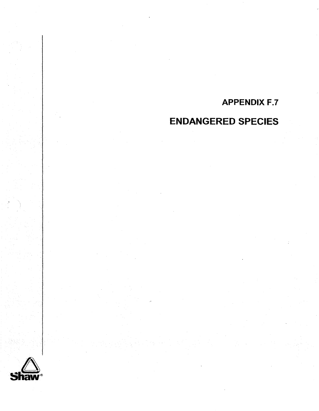# **APPENDIX F.7**

## **ENDANGERED SPECIES**

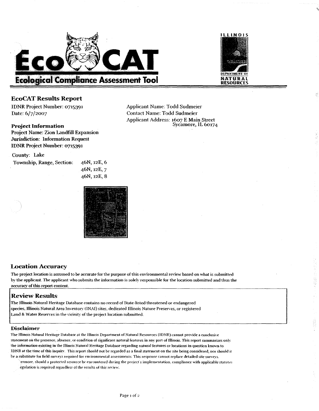



-- - ~ p~

Applicant Address: 1607 E Main Street

#### **EcoCAT Results Report**

IDNR Project Number: 0715391 Applicant Name: Todd Sudmeier Date: 6/7/2007 Contact Name: Todd Sudmeier

#### **Project Information**

Project Name: Zion Landfill Expansion Jurisdiction: lnformation Request IDNR Project Number: 0715391

#### County: Lake Township, Range, Section: 46N, 12E, 6

46N, 12E, 7  $46N, 12E, 8$ 



#### **Location Accuracy**

The project location is assumed to be accurate for the purpose of this environmental review based on what is submitted by the applicant. The applicant who submits the information is solely responsible for the location submitted and thus the accuracy of this report content.

#### **I I Review Results**

The Illinois Natural Heritage Database contains no record of State-hsted threatened or endangered species. llfinois Natural Area ln\enton **(1** NAl) sites. dedicated Illinois Nature Presen es, or registered Land & Water Reserves in the vicinity of the project location submitted.

#### **Disclaimer**

The Illinois Natural Heritage Database at the Illinois Department of Natural Resources (IDNR) cannot provide a conclusive statement on the presence, absence. or condition of significant natural features in any part of Illinois. This report summarizes on)! the information existing in the Illinois Natnral Heritage Database regarding nattiral features or locations in question known to IDNR at the time of this inquiry. This report should not be regarded as a final statement on the site being considered, nor should it be a substitute for field surveys required for environmental assessments. This response cannot replace detailed site surveys.

errnore. shoeld a protected resource **be** encountered during the proieci s implemrntation. compliance with applicable statutes egulation is required regardless of the restitts **of** this renew.

Page I **of** 2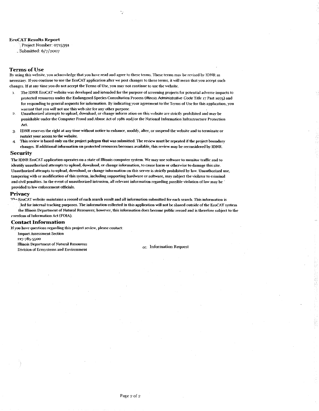#### **EcoCAT Results Report**

Project Number: 0715391 .. Submitted: **6/7/2007** 

#### **Terms** of Use

By using this website, you acknowledge that you have read and agree to these terms. These terms may be revised by IDNR as necessary. If you continue to use the EcoCAT application after we post changes to these terms, it will mean that you accept such changes. If at any time vou do not accept the Terms of Use, you map not continue to use the website.

- The IDNR EcoCAT wbsite was developed and intended for the purpose of screening projects for potential adverse impacts to protected resources under the Endangered Species Consultation Process **(tllinois Administrative** Code Title 17 Pari 1075) and for responding to general requests for information. By indicating your agreement to the Terms of Use for this application, you warrant that you will not use this web site for any other purpose.
- Unauthorized attempts to upload, download, or change inform ation on this website are strictly prohibited and may be punishable under the Computer Fraud and Abuse Act of **1986** and/or the Nationaf Information Infrastructure Protection **Act.**
- IDNR reserves the right at any time without notice to enhance, modify, alter, or suspend the website and to terminate or 3. restrict your access to the website.
- Tbis review is based only on the projeet polygon that was submitted. The *review* musf be repeated if the project boundap  $\overline{A}$ cbanges. If additional information on protected resources becomes available, this review may be reconsidered by IDNR.

#### Security

The IDNR EcoCAT application operates on a state of Illinois computer system. We may use software to monitor traffic and to identify uuauthorized attempts to upload, download, or change information, lo cause harm or othenvise to damage this site. Unauthorized attempts to upload, download, or change information on this **sewer** is strictly prohibited by law Unauthorized use: tamperingwith or modfication ofthis system, including supporting hardware or software, may subject the violator to criminal and civil penalties. In the event of unauthorized intrusion, all relevant information regarding possible violation of law may be ' provided to law enforcement officials.

#### **Privacy**

The EcoCAT website maintains a record of each search result and all information submitted for each search. This information is led for internal tracking purposes. The information collected in this application will not be shared outside of the EcoCAT system the Hlinois Department of Naturat Resources; however, this information **does** become public mrd and is therefore subject to the rreedom of Information Act (FOIA).

#### **Contact Information**

If you have questions regarding this project review, please contact:

Impact Assessment Section

237-785-5500

Illinois Department of Natural Resources Button Division of Ecosystems and Environment CC: Information Request<br>Division of Ecosystems and Environment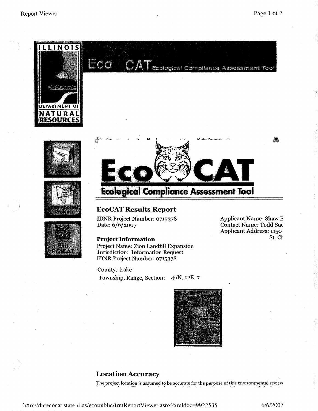鏅







**Ecolsgical Compliance Assessment Tool** 

### **EcoCAT Results Report**

IDNR Project Number: 0715378 Applicant Name: Shaw E Date:  $6/6/2007$  Contact Name: Todd Suc

#### **Project Information**

Project Name: Zion Landfill Expansion Jurisdiction: Information Request IDNR Project Number: 0715378

Applicant Address: 1150

County: Lake

Township, Range, Section: 46N, **12E,** 7



#### **Location Accuracy**

The project location is assumed to be accurate for the purpose of this environmental review

6/6/2007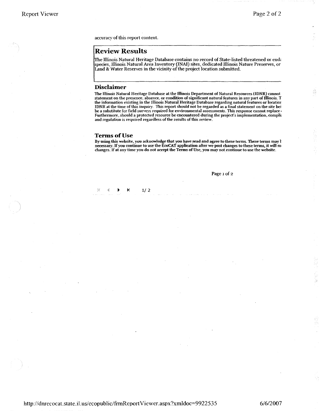용

accuracy of this report content.

#### **Review Results**

The Illinois Natural Heritage Database contains no record of State-listed threatened or end; species, Illinois Natural Area Inventory **(INAI)** sites, dedicated Illinois Nature Preserves, or Land & Water Reserves in the vicinity of the project location submitted.

#### **Disclaimer**

The Illinois Natural Heritage Database at the Illinois Department of Natural Resources (IDNR) cannot statement on the presence. absence. or condition of significant natural features in any part of Illinois. T the information existing in the Illinois Natural Heritage Database regarding natural features orlocatior IDNR at the time of this inquiry. This report should not be regarded as a final statement on the site bei **be** a substitute for field surveys required for environmental assessments. This response cannot replace **<sup>1</sup>** Furthermore, should a protected resource **be** encountered during the project's implementation. compli: and regulation is required regardless of the results of this review.

#### **Terms of Use**

 $\blacktriangleright$ 

 $\ddot{\phantom{1}}$ 

 $1/2$ 

 $\{z\}$  $\hat{\mathcal{L}}$ 

By using this website, you acknowledge that you have read and agree to these terms. These terms may **1** necessary. If you continue to use the EcoCAT application after we post changes to these terms, it will m changes. If at any time you do not accept the Terms of Use, you may not continue to use the website.

Page **I** of **2** 

http://dnrecocat.state.il.us/ecopublic/frmReportViewer.aspx?xmldoc=9922535

6/6/2007